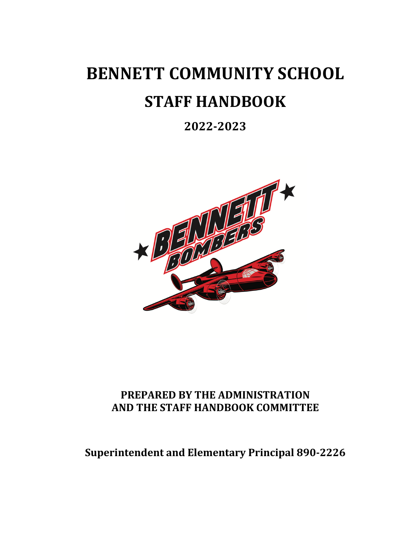# **BENNETT COMMUNITY SCHOOL STAFF HANDBOOK**

# **2022-2023**



### **PREPARED BY THE ADMINISTRATION AND THE STAFF HANDBOOK COMMITTEE**

## **Superintendent and Elementary Principal 890-2226**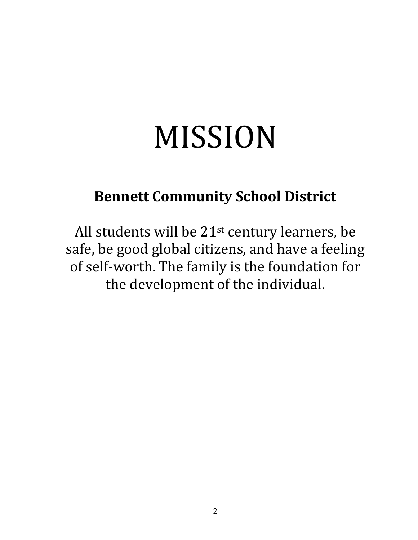# MISSION

# **Bennett Community School District**

All students will be  $21^{st}$  century learners, be safe, be good global citizens, and have a feeling of self-worth. The family is the foundation for the development of the individual.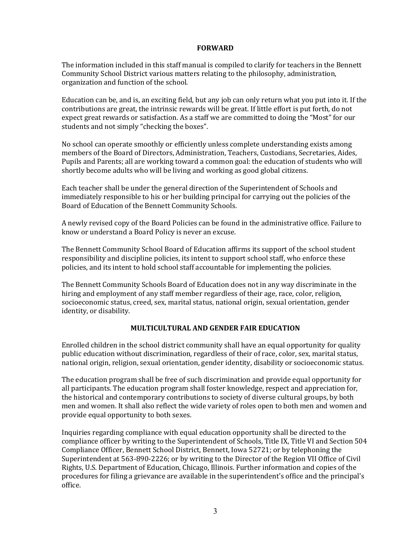#### **FORWARD**

The information included in this staff manual is compiled to clarify for teachers in the Bennett Community School District various matters relating to the philosophy, administration, organization and function of the school.

Education can be, and is, an exciting field, but any job can only return what you put into it. If the contributions are great, the intrinsic rewards will be great. If little effort is put forth, do not expect great rewards or satisfaction. As a staff we are committed to doing the "Most" for our students and not simply "checking the boxes".

No school can operate smoothly or efficiently unless complete understanding exists among members of the Board of Directors, Administration, Teachers, Custodians, Secretaries, Aides, Pupils and Parents; all are working toward a common goal: the education of students who will shortly become adults who will be living and working as good global citizens.

Each teacher shall be under the general direction of the Superintendent of Schools and immediately responsible to his or her building principal for carrying out the policies of the Board of Education of the Bennett Community Schools.

A newly revised copy of the Board Policies can be found in the administrative office. Failure to know or understand a Board Policy is never an excuse.

The Bennett Community School Board of Education affirms its support of the school student responsibility and discipline policies, its intent to support school staff, who enforce these policies, and its intent to hold school staff accountable for implementing the policies.

The Bennett Community Schools Board of Education does not in any way discriminate in the hiring and employment of any staff member regardless of their age, race, color, religion, socioeconomic status, creed, sex, marital status, national origin, sexual orientation, gender identity, or disability.

#### **MULTICULTURAL AND GENDER FAIR EDUCATION**

Enrolled children in the school district community shall have an equal opportunity for quality public education without discrimination, regardless of their of race, color, sex, marital status, national origin, religion, sexual orientation, gender identity, disability or socioeconomic status.

The education program shall be free of such discrimination and provide equal opportunity for all participants. The education program shall foster knowledge, respect and appreciation for, the historical and contemporary contributions to society of diverse cultural groups, by both men and women. It shall also reflect the wide variety of roles open to both men and women and provide equal opportunity to both sexes.

Inquiries regarding compliance with equal education opportunity shall be directed to the compliance officer by writing to the Superintendent of Schools, Title IX, Title VI and Section 504 Compliance Officer, Bennett School District, Bennett, Iowa 52721; or by telephoning the Superintendent at 563-890-2226; or by writing to the Director of the Region VII Office of Civil Rights, U.S. Department of Education, Chicago, Illinois. Further information and copies of the procedures for filing a grievance are available in the superintendent's office and the principal's office.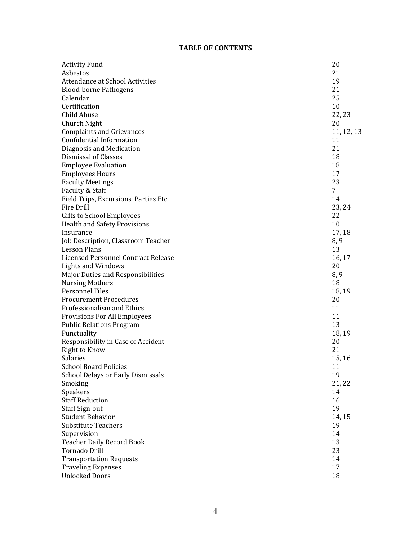#### **TABLE OF CONTENTS**

| <b>Activity Fund</b>                   | 20         |
|----------------------------------------|------------|
| Asbestos                               | 21         |
| <b>Attendance at School Activities</b> | 19         |
| <b>Blood-borne Pathogens</b>           | 21         |
| Calendar                               | 25         |
| Certification                          | 10         |
| Child Abuse                            | 22, 23     |
| Church Night                           | 20         |
| <b>Complaints and Grievances</b>       | 11, 12, 13 |
| Confidential Information               | 11         |
| Diagnosis and Medication               | 21         |
| Dismissal of Classes                   | 18         |
| <b>Employee Evaluation</b>             | 18         |
| <b>Employees Hours</b>                 | 17         |
| <b>Faculty Meetings</b>                | 23         |
| Faculty & Staff                        | 7          |
| Field Trips, Excursions, Parties Etc.  | 14         |
| Fire Drill                             | 23, 24     |
| Gifts to School Employees              | 22         |
| <b>Health and Safety Provisions</b>    | 10         |
| Insurance                              | 17, 18     |
| Job Description, Classroom Teacher     | 8, 9       |
| <b>Lesson Plans</b>                    | 13         |
| Licensed Personnel Contract Release    | 16, 17     |
| <b>Lights and Windows</b>              | 20         |
| Major Duties and Responsibilities      | 8, 9       |
| <b>Nursing Mothers</b>                 | 18         |
| Personnel Files                        | 18, 19     |
| <b>Procurement Procedures</b>          | 20         |
| Professionalism and Ethics             | 11         |
| Provisions For All Employees           | 11         |
| <b>Public Relations Program</b>        | 13         |
| Punctuality                            | 18, 19     |
| Responsibility in Case of Accident     | 20         |
| Right to Know                          | 21         |
| Salaries                               | 15, 16     |
| <b>School Board Policies</b>           | 11         |
| School Delays or Early Dismissals      | 19         |
| Smoking                                | 21, 22     |
| Speakers                               | 14         |
| <b>Staff Reduction</b>                 | 16         |
| <b>Staff Sign-out</b>                  | 19         |
| <b>Student Behavior</b>                | 14, 15     |
| <b>Substitute Teachers</b>             | 19         |
| Supervision                            | 14         |
| <b>Teacher Daily Record Book</b>       | 13         |
| <b>Tornado Drill</b>                   | 23         |
| <b>Transportation Requests</b>         | 14         |
| <b>Traveling Expenses</b>              | 17         |
| <b>Unlocked Doors</b>                  | 18         |
|                                        |            |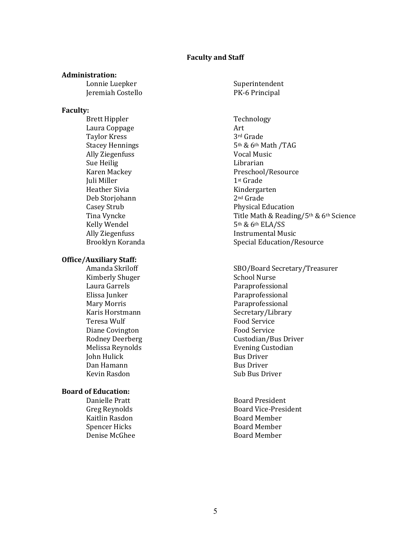#### **Faculty and Staff**

#### **Administration:**

Lonnie Luepker Superintendent Jeremiah Costello PK-6 Principal

#### **Faculty:**

Brett Hippler Technology Laura Coppage **Art** Taylor Kress 3rd Grade Ally Ziegenfuss **Vocal Music** Sue Heilig **Librarian Juli Miller** 1st Grade Heather Sivia **Kindergarten** Deb Storjohann 2<sup>nd</sup> Grade Kelly Wendel 5th & 6th ELA/SS

#### **Office/Auxiliary Staff:**

Kimberly Shuger School Nurse Laura Garrels **Paraprofessional** Elissa Junker **Paraprofessional** Mary Morris **Mary Morris Engles** Paraprofessional Teresa Wulf **Food Service** Diane Covington **Food** Service **John Hulick** Bus Driver Dan Hamann Bus Driver Kevin Rasdon Sub Bus Driver

#### **Board of Education:**

Kaitlin Rasdon **Board Member** Spencer Hicks Board Member Denise McGhee **Board Member** 

Stacey Hennings 5th & 6th Math /TAG Karen Mackey **Ackaren Mackey Preschool/Resource** Casey Strub **Physical Education** Tina Vyncke The Math & Reading/5th & 6th Science Ally Ziegenfuss **Instrumental Music** Brooklyn Koranda Special Education/Resource

Amanda Skriloff SBO/Board Secretary/Treasurer Karis Horstmann Secretary/Library Rodney Deerberg **Custodian/Bus Driver** Melissa Reynolds **Evening Custodian** 

Danielle Pratt Board President Greg Reynolds Board Vice-President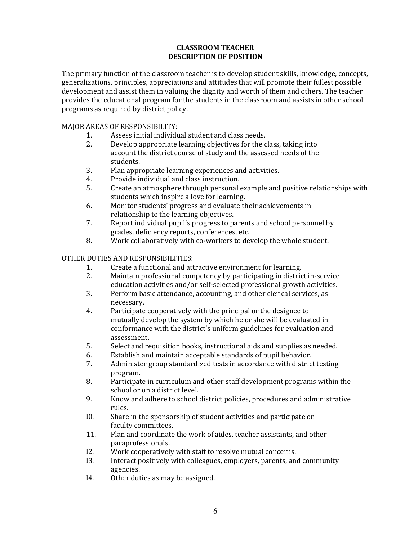#### **CLASSROOM TEACHER DESCRIPTION OF POSITION**

The primary function of the classroom teacher is to develop student skills, knowledge, concepts, generalizations, principles, appreciations and attitudes that will promote their fullest possible development and assist them in valuing the dignity and worth of them and others. The teacher provides the educational program for the students in the classroom and assists in other school programs as required by district policy.

#### MAJOR AREAS OF RESPONSIBILITY:

- 1. Assess initial individual student and class needs.
- 2. Develop appropriate learning objectives for the class, taking into account the district course of study and the assessed needs of the students.
- 3. Plan appropriate learning experiences and activities.
- 4. Provide individual and class instruction.
- 5. Create an atmosphere through personal example and positive relationships with students which inspire a love for learning.
- 6. Monitor students' progress and evaluate their achievements in relationship to the learning objectives.
- 7. Report individual pupil's progress to parents and school personnel by grades, deficiency reports, conferences, etc.
- 8. Work collaboratively with co-workers to develop the whole student.

#### OTHER DUTIES AND RESPONSIBILITIES:

- 1. Create a functional and attractive environment for learning.
- 2. Maintain professional competency by participating in district in-service education activities and/or self-selected professional growth activities.
- 3. Perform basic attendance, accounting, and other clerical services, as necessary.
- 4. Participate cooperatively with the principal or the designee to mutually develop the system by which he or she will be evaluated in conformance with the district's uniform guidelines for evaluation and assessment.
- 5. Select and requisition books, instructional aids and supplies as needed.
- 6. Establish and maintain acceptable standards of pupil behavior.
- 7. Administer group standardized tests in accordance with district testing program.
- 8. Participate in curriculum and other staff development programs within the school or on a district level.
- 9. Know and adhere to school district policies, procedures and administrative rules.
- l0. Share in the sponsorship of student activities and participate on faculty committees.
- 11. Plan and coordinate the work of aides, teacher assistants, and other paraprofessionals.
- l2. Work cooperatively with staff to resolve mutual concerns.
- l3. Interact positively with colleagues, employers, parents, and community agencies.
- 14. Other duties as may be assigned.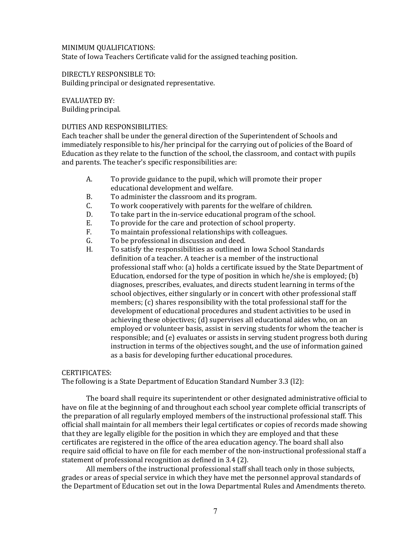#### MINIMUM QUALIFICATIONS: State of Iowa Teachers Certificate valid for the assigned teaching position.

DIRECTLY RESPONSIBLE TO: Building principal or designated representative.

EVALUATED BY: Building principal.

#### DUTIES AND RESPONSIBILITIES:

Each teacher shall be under the general direction of the Superintendent of Schools and immediately responsible to his/her principal for the carrying out of policies of the Board of Education as they relate to the function of the school, the classroom, and contact with pupils and parents. The teacher's specific responsibilities are:

- A. To provide guidance to the pupil, which will promote their proper educational development and welfare.
- B. To administer the classroom and its program.
- C. To work cooperatively with parents for the welfare of children.
- D. To take part in the in-service educational program of the school.
- E. To provide for the care and protection of school property.
- F. To maintain professional relationships with colleagues.
- G. To be professional in discussion and deed.
- H. To satisfy the responsibilities as outlined in Iowa School Standards definition of a teacher. A teacher is a member of the instructional professional staff who: (a) holds a certificate issued by the State Department of Education, endorsed for the type of position in which he/she is employed; (b) diagnoses, prescribes, evaluates, and directs student learning in terms of the school objectives, either singularly or in concert with other professional staff members; (c) shares responsibility with the total professional staff for the development of educational procedures and student activities to be used in achieving these objectives; (d) supervises all educational aides who, on an employed or volunteer basis, assist in serving students for whom the teacher is responsible; and (e) evaluates or assists in serving student progress both during instruction in terms of the objectives sought, and the use of information gained as a basis for developing further educational procedures.

#### CERTIFICATES:

The following is a State Department of Education Standard Number  $3.3$  (12):

The board shall require its superintendent or other designated administrative official to have on file at the beginning of and throughout each school year complete official transcripts of the preparation of all regularly employed members of the instructional professional staff. This official shall maintain for all members their legal certificates or copies of records made showing that they are legally eligible for the position in which they are employed and that these certificates are registered in the office of the area education agency. The board shall also require said official to have on file for each member of the non-instructional professional staff a statement of professional recognition as defined in 3.4 (2).

All members of the instructional professional staff shall teach only in those subjects, grades or areas of special service in which they have met the personnel approval standards of the Department of Education set out in the Iowa Departmental Rules and Amendments thereto.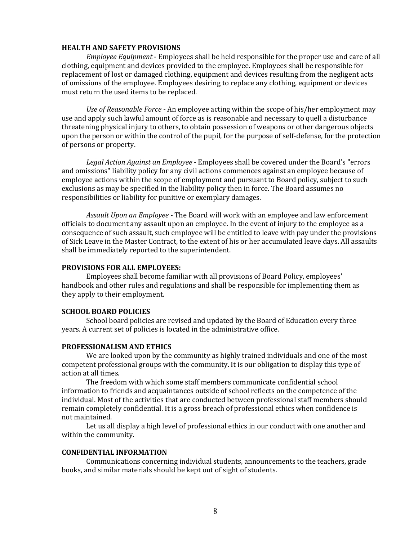#### **HEALTH AND SAFETY PROVISIONS**

*Employee Equipment* - Employees shall be held responsible for the proper use and care of all clothing, equipment and devices provided to the employee. Employees shall be responsible for replacement of lost or damaged clothing, equipment and devices resulting from the negligent acts of omissions of the employee. Employees desiring to replace any clothing, equipment or devices must return the used items to be replaced.

*Use of Reasonable Force* - An employee acting within the scope of his/her employment may use and apply such lawful amount of force as is reasonable and necessary to quell a disturbance threatening physical injury to others, to obtain possession of weapons or other dangerous objects upon the person or within the control of the pupil, for the purpose of self-defense, for the protection of persons or property.

Legal Action Against an Employee - Employees shall be covered under the Board's "errors" and omissions" liability policy for any civil actions commences against an employee because of employee actions within the scope of employment and pursuant to Board policy, subject to such exclusions as may be specified in the liability policy then in force. The Board assumes no responsibilities or liability for punitive or exemplary damages.

Assault Upon an Employee - The Board will work with an employee and law enforcement officials to document any assault upon an employee. In the event of injury to the employee as a consequence of such assault, such employee will be entitled to leave with pay under the provisions of Sick Leave in the Master Contract, to the extent of his or her accumulated leave days. All assaults shall be immediately reported to the superintendent.

#### **PROVISIONS FOR ALL EMPLOYEES:**

Employees shall become familiar with all provisions of Board Policy, employees' handbook and other rules and regulations and shall be responsible for implementing them as they apply to their employment.

#### **SCHOOL BOARD POLICIES**

School board policies are revised and updated by the Board of Education every three years. A current set of policies is located in the administrative office.

#### **PROFESSIONALISM AND ETHICS**

We are looked upon by the community as highly trained individuals and one of the most competent professional groups with the community. It is our obligation to display this type of action at all times.

The freedom with which some staff members communicate confidential school information to friends and acquaintances outside of school reflects on the competence of the individual. Most of the activities that are conducted between professional staff members should remain completely confidential. It is a gross breach of professional ethics when confidence is not maintained.

Let us all display a high level of professional ethics in our conduct with one another and within the community.

#### **CONFIDENTIAL INFORMATION**

Communications concerning individual students, announcements to the teachers, grade books, and similar materials should be kept out of sight of students.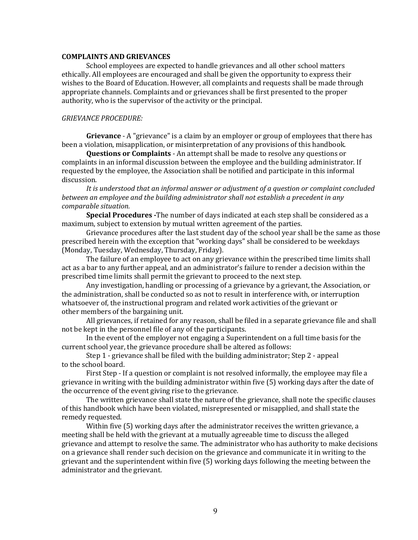#### **COMPLAINTS AND GRIEVANCES**

School employees are expected to handle grievances and all other school matters ethically. All employees are encouraged and shall be given the opportunity to express their wishes to the Board of Education. However, all complaints and requests shall be made through appropriate channels. Complaints and or grievances shall be first presented to the proper authority, who is the supervisor of the activity or the principal.

#### **GRIEVANCE PROCEDURE:**

**Grievance** - A "grievance" is a claim by an employer or group of employees that there has been a violation, misapplication, or misinterpretation of any provisions of this handbook.

**Questions or Complaints** - An attempt shall be made to resolve any questions or complaints in an informal discussion between the employee and the building administrator. If requested by the employee, the Association shall be notified and participate in this informal discussion.

It is understood that an informal answer or adjustment of a question or complaint concluded *between an employee and the building administrator shall not establish a precedent in any comparable situation.*

**Special Procedures** -The number of days indicated at each step shall be considered as a maximum, subject to extension by mutual written agreement of the parties.

Grievance procedures after the last student day of the school year shall be the same as those prescribed herein with the exception that "working days" shall be considered to be weekdays (Monday, Tuesday, Wednesday, Thursday, Friday).

The failure of an employee to act on any grievance within the prescribed time limits shall act as a bar to any further appeal, and an administrator's failure to render a decision within the prescribed time limits shall permit the grievant to proceed to the next step.

Any investigation, handling or processing of a grievance by a grievant, the Association, or the administration, shall be conducted so as not to result in interference with, or interruption whatsoever of, the instructional program and related work activities of the grievant or other members of the bargaining unit.

All grievances, if retained for any reason, shall be filed in a separate grievance file and shall not be kept in the personnel file of any of the participants.

In the event of the employer not engaging a Superintendent on a full time basis for the current school year, the grievance procedure shall be altered as follows:

Step 1 - grievance shall be filed with the building administrator; Step 2 - appeal to the school board.

First Step - If a question or complaint is not resolved informally, the employee may file a grievance in writing with the building administrator within five (5) working days after the date of the occurrence of the event giving rise to the grievance.

The written grievance shall state the nature of the grievance, shall note the specific clauses of this handbook which have been violated, misrepresented or misapplied, and shall state the remedy requested.

Within five (5) working days after the administrator receives the written grievance, a meeting shall be held with the grievant at a mutually agreeable time to discuss the alleged grievance and attempt to resolve the same. The administrator who has authority to make decisions on a grievance shall render such decision on the grievance and communicate it in writing to the grievant and the superintendent within five (5) working days following the meeting between the administrator and the grievant.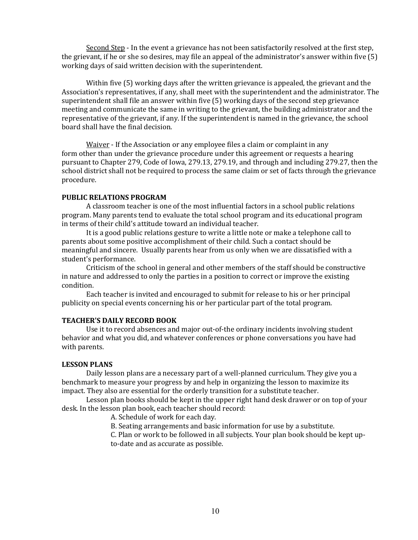Second Step - In the event a grievance has not been satisfactorily resolved at the first step, the grievant, if he or she so desires, may file an appeal of the administrator's answer within five  $(5)$ working days of said written decision with the superintendent.

Within five  $(5)$  working days after the written grievance is appealed, the grievant and the Association's representatives, if any, shall meet with the superintendent and the administrator. The superintendent shall file an answer within five  $(5)$  working days of the second step grievance meeting and communicate the same in writing to the grievant, the building administrator and the representative of the grievant, if any. If the superintendent is named in the grievance, the school board shall have the final decision.

Waiver - If the Association or any employee files a claim or complaint in any form other than under the grievance procedure under this agreement or requests a hearing pursuant to Chapter 279, Code of Iowa, 279.13, 279.19, and through and including 279.27, then the school district shall not be required to process the same claim or set of facts through the grievance procedure.

#### **PUBLIC RELATIONS PROGRAM**

A classroom teacher is one of the most influential factors in a school public relations program. Many parents tend to evaluate the total school program and its educational program in terms of their child's attitude toward an individual teacher.

It is a good public relations gesture to write a little note or make a telephone call to parents about some positive accomplishment of their child. Such a contact should be meaningful and sincere. Usually parents hear from us only when we are dissatisfied with a student's performance.

Criticism of the school in general and other members of the staff should be constructive in nature and addressed to only the parties in a position to correct or improve the existing condition.

Each teacher is invited and encouraged to submit for release to his or her principal publicity on special events concerning his or her particular part of the total program.

#### **TEACHER'S DAILY RECORD BOOK**

Use it to record absences and major out-of-the ordinary incidents involving student behavior and what you did, and whatever conferences or phone conversations you have had with parents.

#### **LESSON PLANS**

Daily lesson plans are a necessary part of a well-planned curriculum. They give you a benchmark to measure your progress by and help in organizing the lesson to maximize its impact. They also are essential for the orderly transition for a substitute teacher.

Lesson plan books should be kept in the upper right hand desk drawer or on top of your desk. In the lesson plan book, each teacher should record:

A. Schedule of work for each day.

B. Seating arrangements and basic information for use by a substitute.

C. Plan or work to be followed in all subjects. Your plan book should be kept upto-date and as accurate as possible.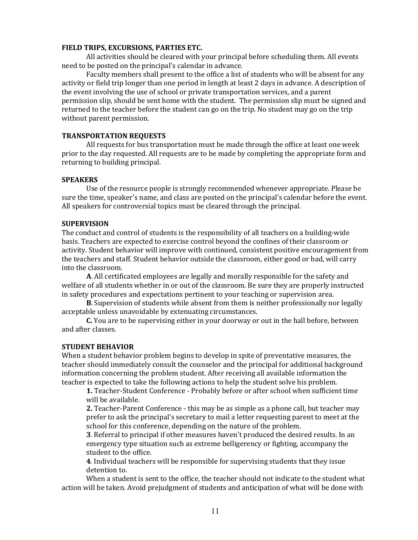#### **FIELD TRIPS, EXCURSIONS, PARTIES ETC.**

All activities should be cleared with your principal before scheduling them. All events need to be posted on the principal's calendar in advance.

Faculty members shall present to the office a list of students who will be absent for any activity or field trip longer than one period in length at least 2 days in advance. A description of the event involving the use of school or private transportation services, and a parent permission slip, should be sent home with the student. The permission slip must be signed and returned to the teacher before the student can go on the trip. No student may go on the trip without parent permission.

#### **TRANSPORTATION REQUESTS**

All requests for bus transportation must be made through the office at least one week prior to the day requested. All requests are to be made by completing the appropriate form and returning to building principal.

#### **SPEAKERS**

Use of the resource people is strongly recommended whenever appropriate. Please be sure the time, speaker's name, and class are posted on the principal's calendar before the event. All speakers for controversial topics must be cleared through the principal.

#### **SUPERVISION**

The conduct and control of students is the responsibility of all teachers on a building-wide basis. Teachers are expected to exercise control beyond the confines of their classroom or activity. Student behavior will improve with continued, consistent positive encouragement from the teachers and staff. Student behavior outside the classroom, either good or bad, will carry into the classroom.

**A**. All certificated employees are legally and morally responsible for the safety and welfare of all students whether in or out of the classroom. Be sure they are properly instructed in safety procedures and expectations pertinent to your teaching or supervision area.

**B**. Supervision of students while absent from them is neither professionally nor legally acceptable unless unavoidable by extenuating circumstances.

**C.** You are to be supervising either in your doorway or out in the hall before, between and after classes.

#### **STUDENT BEHAVIOR**

When a student behavior problem begins to develop in spite of preventative measures, the teacher should immediately consult the counselor and the principal for additional background information concerning the problem student. After receiving all available information the teacher is expected to take the following actions to help the student solve his problem.

**1.** Teacher-Student Conference - Probably before or after school when sufficient time will be available.

**2.** Teacher-Parent Conference - this may be as simple as a phone call, but teacher may prefer to ask the principal's secretary to mail a letter requesting parent to meet at the school for this conference, depending on the nature of the problem.

**3**. Referral to principal if other measures haven't produced the desired results. In an emergency type situation such as extreme belligerency or fighting, accompany the student to the office.

**4**. Individual teachers will be responsible for supervising students that they issue detention to.

When a student is sent to the office, the teacher should not indicate to the student what action will be taken. Avoid prejudgment of students and anticipation of what will be done with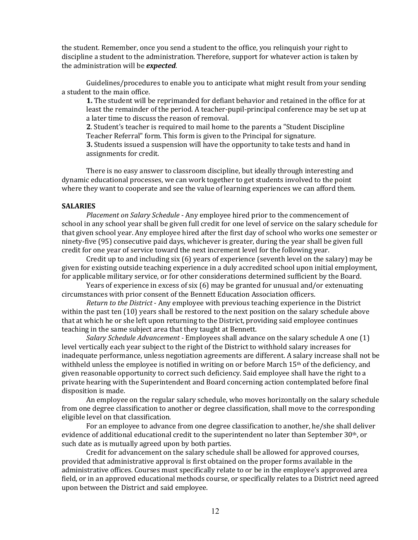the student. Remember, once you send a student to the office, you relinquish your right to discipline a student to the administration. Therefore, support for whatever action is taken by the administration will be *expected*.

Guidelines/procedures to enable you to anticipate what might result from your sending a student to the main office.

**1.** The student will be reprimanded for defiant behavior and retained in the office for at least the remainder of the period. A teacher-pupil-principal conference may be set up at a later time to discuss the reason of removal.

**2**. Student's teacher is required to mail home to the parents a "Student Discipline Teacher Referral" form. This form is given to the Principal for signature.

**3.** Students issued a suspension will have the opportunity to take tests and hand in assignments for credit.

There is no easy answer to classroom discipline, but ideally through interesting and dynamic educational processes, we can work together to get students involved to the point where they want to cooperate and see the value of learning experiences we can afford them.

#### **SALARIES**

*Placement on Salary Schedule* - Any employee hired prior to the commencement of school in any school year shall be given full credit for one level of service on the salary schedule for that given school year. Any employee hired after the first day of school who works one semester or ninety-five (95) consecutive paid days, whichever is greater, during the year shall be given full credit for one year of service toward the next increment level for the following year.

Credit up to and including  $\text{six}(6)$  years of experience (seventh level on the salary) may be given for existing outside teaching experience in a duly accredited school upon initial employment, for applicable military service, or for other considerations determined sufficient by the Board.

Years of experience in excess of six  $(6)$  may be granted for unusual and/or extenuating circumstances with prior consent of the Bennett Education Association officers.

*Return to the District* - Any employee with previous teaching experience in the District within the past ten (10) years shall be restored to the next position on the salary schedule above that at which he or she left upon returning to the District, providing said employee continues teaching in the same subject area that they taught at Bennett.

*Salary Schedule Advancement* - Employees shall advance on the salary schedule A one (1) level vertically each year subject to the right of the District to withhold salary increases for inadequate performance, unless negotiation agreements are different. A salary increase shall not be withheld unless the employee is notified in writing on or before March 15<sup>th</sup> of the deficiency, and given reasonable opportunity to correct such deficiency. Said employee shall have the right to a private hearing with the Superintendent and Board concerning action contemplated before final disposition is made.

An employee on the regular salary schedule, who moves horizontally on the salary schedule from one degree classification to another or degree classification, shall move to the corresponding eligible level on that classification.

For an employee to advance from one degree classification to another, he/she shall deliver evidence of additional educational credit to the superintendent no later than September 30<sup>th</sup>, or such date as is mutually agreed upon by both parties.

Credit for advancement on the salary schedule shall be allowed for approved courses, provided that administrative approval is first obtained on the proper forms available in the administrative offices. Courses must specifically relate to or be in the employee's approved area field, or in an approved educational methods course, or specifically relates to a District need agreed upon between the District and said employee.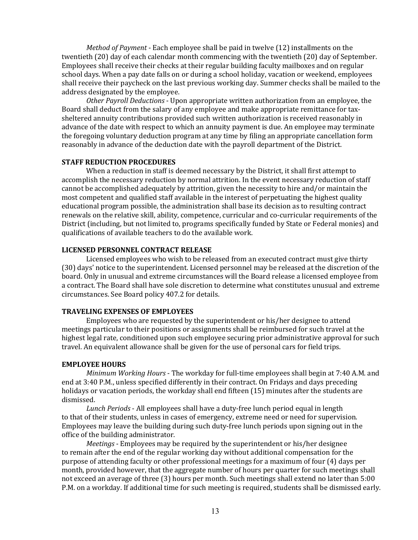*Method of Payment* - Each employee shall be paid in twelve (12) installments on the twentieth (20) day of each calendar month commencing with the twentieth (20) day of September. Employees shall receive their checks at their regular building faculty mailboxes and on regular school days. When a pay date falls on or during a school holiday, vacation or weekend, employees shall receive their paycheck on the last previous working day. Summer checks shall be mailed to the address designated by the employee.

*Other Payroll Deductions* - Upon appropriate written authorization from an employee, the Board shall deduct from the salary of any employee and make appropriate remittance for taxsheltered annuity contributions provided such written authorization is received reasonably in advance of the date with respect to which an annuity payment is due. An employee may terminate the foregoing voluntary deduction program at any time by filing an appropriate cancellation form reasonably in advance of the deduction date with the payroll department of the District.

#### **STAFF REDUCTION PROCEDURES**

When a reduction in staff is deemed necessary by the District, it shall first attempt to accomplish the necessary reduction by normal attrition. In the event necessary reduction of staff cannot be accomplished adequately by attrition, given the necessity to hire and/or maintain the most competent and qualified staff available in the interest of perpetuating the highest quality educational program possible, the administration shall base its decision as to resulting contract renewals on the relative skill, ability, competence, curricular and co-curricular requirements of the District (including, but not limited to, programs specifically funded by State or Federal monies) and qualifications of available teachers to do the available work.

#### **LICENSED PERSONNEL CONTRACT RELEASE**

Licensed employees who wish to be released from an executed contract must give thirty (30) days' notice to the superintendent. Licensed personnel may be released at the discretion of the board. Only in unusual and extreme circumstances will the Board release a licensed employee from a contract. The Board shall have sole discretion to determine what constitutes unusual and extreme circumstances. See Board policy 407.2 for details.

#### **TRAVELING EXPENSES OF EMPLOYEES**

Employees who are requested by the superintendent or his/her designee to attend meetings particular to their positions or assignments shall be reimbursed for such travel at the highest legal rate, conditioned upon such employee securing prior administrative approval for such travel. An equivalent allowance shall be given for the use of personal cars for field trips.

#### **EMPLOYEE HOURS**

*Minimum Working Hours* - The workday for full-time employees shall begin at 7:40 A.M. and end at 3:40 P.M., unless specified differently in their contract. On Fridays and days preceding holidays or vacation periods, the workday shall end fifteen (15) minutes after the students are dismissed.

Lunch Periods - All employees shall have a duty-free lunch period equal in length to that of their students, unless in cases of emergency, extreme need or need for supervision. Employees may leave the building during such duty-free lunch periods upon signing out in the office of the building administrator.

*Meetings* - Employees may be required by the superintendent or his/her designee to remain after the end of the regular working day without additional compensation for the purpose of attending faculty or other professional meetings for a maximum of four (4) days per month, provided however, that the aggregate number of hours per quarter for such meetings shall not exceed an average of three (3) hours per month. Such meetings shall extend no later than 5:00 P.M. on a workday. If additional time for such meeting is required, students shall be dismissed early.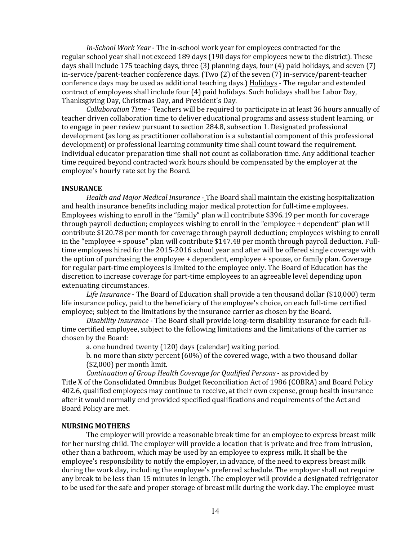*In-School Work Year* - The in-school work year for employees contracted for the regular school year shall not exceed 189 days (190 days for employees new to the district). These days shall include 175 teaching days, three  $(3)$  planning days, four  $(4)$  paid holidays, and seven  $(7)$ in-service/parent-teacher conference days. (Two  $(2)$  of the seven  $(7)$  in-service/parent-teacher conference days may be used as additional teaching days.) Holidays - The regular and extended contract of employees shall include four (4) paid holidays. Such holidays shall be: Labor Day, Thanksgiving Day, Christmas Day, and President's Day.

*Collaboration Time* - Teachers will be required to participate in at least 36 hours annually of teacher driven collaboration time to deliver educational programs and assess student learning, or to engage in peer review pursuant to section 284.8, subsection 1. Designated professional development (as long as practitioner collaboration is a substantial component of this professional development) or professional learning community time shall count toward the requirement. Individual educator preparation time shall not count as collaboration time. Any additional teacher time required beyond contracted work hours should be compensated by the employer at the employee's hourly rate set by the Board.

#### **INSURANCE**

*Health and Major Medical Insurance* - The Board shall maintain the existing hospitalization and health insurance benefits including major medical protection for full-time employees. Employees wishing to enroll in the "family" plan will contribute \$396.19 per month for coverage through payroll deduction; employees wishing to enroll in the "employee  $+$  dependent" plan will contribute \$120.78 per month for coverage through payroll deduction; employees wishing to enroll in the "employee  $+$  spouse" plan will contribute \$147.48 per month through payroll deduction. Fulltime employees hired for the 2015-2016 school year and after will be offered single coverage with the option of purchasing the employee  $+$  dependent, employee  $+$  spouse, or family plan. Coverage for regular part-time employees is limited to the employee only. The Board of Education has the discretion to increase coverage for part-time employees to an agreeable level depending upon extenuating circumstances.

Life Insurance - The Board of Education shall provide a ten thousand dollar (\$10,000) term life insurance policy, paid to the beneficiary of the employee's choice, on each full-time certified employee; subject to the limitations by the insurance carrier as chosen by the Board.

*Disability Insurance* - The Board shall provide long-term disability insurance for each fulltime certified employee, subject to the following limitations and the limitations of the carrier as chosen by the Board:

a. one hundred twenty (120) days (calendar) waiting period.

b. no more than sixty percent  $(60%)$  of the covered wage, with a two thousand dollar  $( $2,000]$  per month limit.

*Continuation of Group Health Coverage for Qualified Persons* - as provided by Title X of the Consolidated Omnibus Budget Reconciliation Act of 1986 (COBRA) and Board Policy 402.6, qualified employees may continue to receive, at their own expense, group health insurance after it would normally end provided specified qualifications and requirements of the Act and Board Policy are met.

#### **NURSING MOTHERS**

The employer will provide a reasonable break time for an employee to express breast milk for her nursing child. The employer will provide a location that is private and free from intrusion, other than a bathroom, which may be used by an employee to express milk. It shall be the employee's responsibility to notify the employer, in advance, of the need to express breast milk during the work day, including the employee's preferred schedule. The employer shall not require any break to be less than 15 minutes in length. The employer will provide a designated refrigerator to be used for the safe and proper storage of breast milk during the work day. The employee must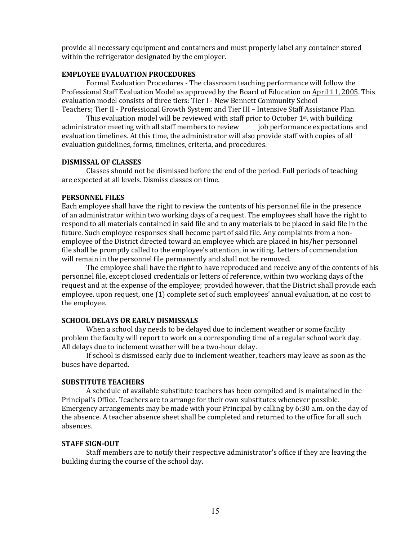provide all necessary equipment and containers and must properly label any container stored within the refrigerator designated by the employer.

#### **EMPLOYEE EVALUATION PROCEDURES**

Formal Evaluation Procedures - The classroom teaching performance will follow the Professional Staff Evaluation Model as approved by the Board of Education on April 11, 2005. This evaluation model consists of three tiers: Tier I - New Bennett Community School Teachers; Tier II - Professional Growth System; and Tier III - Intensive Staff Assistance Plan.

This evaluation model will be reviewed with staff prior to October  $1st$ , with building administrator meeting with all staff members to review job performance expectations and evaluation timelines. At this time, the administrator will also provide staff with copies of all evaluation guidelines, forms, timelines, criteria, and procedures.

#### **DISMISSAL OF CLASSES**

Classes should not be dismissed before the end of the period. Full periods of teaching are expected at all levels. Dismiss classes on time.

#### **PERSONNEL FILES**

Each employee shall have the right to review the contents of his personnel file in the presence of an administrator within two working days of a request. The employees shall have the right to respond to all materials contained in said file and to any materials to be placed in said file in the future. Such employee responses shall become part of said file. Any complaints from a nonemployee of the District directed toward an employee which are placed in his/her personnel file shall be promptly called to the employee's attention, in writing. Letters of commendation will remain in the personnel file permanently and shall not be removed.

The employee shall have the right to have reproduced and receive any of the contents of his personnel file, except closed credentials or letters of reference, within two working days of the request and at the expense of the employee; provided however, that the District shall provide each employee, upon request, one (1) complete set of such employees' annual evaluation, at no cost to the employee.

#### **SCHOOL DELAYS OR EARLY DISMISSALS**

When a school day needs to be delayed due to inclement weather or some facility problem the faculty will report to work on a corresponding time of a regular school work day. All delays due to inclement weather will be a two-hour delay.

If school is dismissed early due to inclement weather, teachers may leave as soon as the buses have departed.

#### **SUBSTITUTE TEACHERS**

A schedule of available substitute teachers has been compiled and is maintained in the Principal's Office. Teachers are to arrange for their own substitutes whenever possible. Emergency arrangements may be made with your Principal by calling by 6:30 a.m. on the day of the absence. A teacher absence sheet shall be completed and returned to the office for all such absences.

#### **STAFF SIGN-OUT**

Staff members are to notify their respective administrator's office if they are leaving the building during the course of the school day.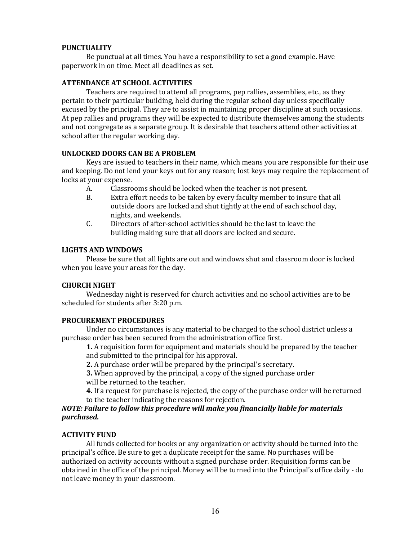#### **PUNCTUALITY**

Be punctual at all times. You have a responsibility to set a good example. Have paperwork in on time. Meet all deadlines as set.

#### **ATTENDANCE AT SCHOOL ACTIVITIES**

Teachers are required to attend all programs, pep rallies, assemblies, etc., as they pertain to their particular building, held during the regular school day unless specifically excused by the principal. They are to assist in maintaining proper discipline at such occasions. At pep rallies and programs they will be expected to distribute themselves among the students and not congregate as a separate group. It is desirable that teachers attend other activities at school after the regular working day.

#### **UNLOCKED DOORS CAN BE A PROBLEM**

Keys are issued to teachers in their name, which means you are responsible for their use and keeping. Do not lend your keys out for any reason; lost keys may require the replacement of locks at your expense.

- A. Classrooms should be locked when the teacher is not present.
- B. Extra effort needs to be taken by every faculty member to insure that all outside doors are locked and shut tightly at the end of each school day, nights, and weekends.
- C. Directors of after-school activities should be the last to leave the building making sure that all doors are locked and secure.

#### **LIGHTS AND WINDOWS**

Please be sure that all lights are out and windows shut and classroom door is locked when you leave your areas for the day.

#### **CHURCH NIGHT**

Wednesday night is reserved for church activities and no school activities are to be scheduled for students after 3:20 p.m.

#### **PROCUREMENT PROCEDURES**

Under no circumstances is any material to be charged to the school district unless a purchase order has been secured from the administration office first.

**1.** A requisition form for equipment and materials should be prepared by the teacher and submitted to the principal for his approval.

**2.** A purchase order will be prepared by the principal's secretary.

**3.** When approved by the principal, a copy of the signed purchase order

will be returned to the teacher.

**4.** If a request for purchase is rejected, the copy of the purchase order will be returned to the teacher indicating the reasons for rejection.

#### *NOTE: Failure to follow this procedure will make you financially liable for materials purchased.*

#### **ACTIVITY FUND**

All funds collected for books or any organization or activity should be turned into the principal's office. Be sure to get a duplicate receipt for the same. No purchases will be authorized on activity accounts without a signed purchase order. Requisition forms can be obtained in the office of the principal. Money will be turned into the Principal's office daily - do not leave money in your classroom.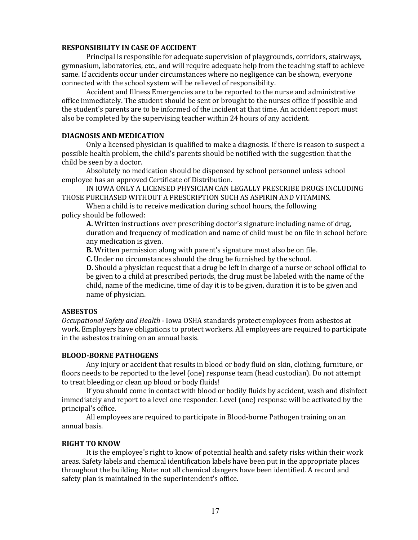#### **RESPONSIBILITY IN CASE OF ACCIDENT**

Principal is responsible for adequate supervision of playgrounds, corridors, stairways, gymnasium, laboratories, etc., and will require adequate help from the teaching staff to achieve same. If accidents occur under circumstances where no negligence can be shown, everyone connected with the school system will be relieved of responsibility.

Accident and Illness Emergencies are to be reported to the nurse and administrative office immediately. The student should be sent or brought to the nurses office if possible and the student's parents are to be informed of the incident at that time. An accident report must also be completed by the supervising teacher within 24 hours of any accident.

#### **DIAGNOSIS AND MEDICATION**

Only a licensed physician is qualified to make a diagnosis. If there is reason to suspect a possible health problem, the child's parents should be notified with the suggestion that the child be seen by a doctor.

Absolutely no medication should be dispensed by school personnel unless school employee has an approved Certificate of Distribution.

IN IOWA ONLY A LICENSED PHYSICIAN CAN LEGALLY PRESCRIBE DRUGS INCLUDING THOSE PURCHASED WITHOUT A PRESCRIPTION SUCH AS ASPIRIN AND VITAMINS.

When a child is to receive medication during school hours, the following policy should be followed:

**A.** Written instructions over prescribing doctor's signature including name of drug, duration and frequency of medication and name of child must be on file in school before any medication is given.

**B.** Written permission along with parent's signature must also be on file.

**C.** Under no circumstances should the drug be furnished by the school.

**D.** Should a physician request that a drug be left in charge of a nurse or school official to be given to a child at prescribed periods, the drug must be labeled with the name of the child, name of the medicine, time of day it is to be given, duration it is to be given and name of physician.

#### **ASBESTOS**

*Occupational Safety and Health* - Iowa OSHA standards protect employees from asbestos at work. Employers have obligations to protect workers. All employees are required to participate in the asbestos training on an annual basis.

#### **BLOOD-BORNE PATHOGENS**

Any injury or accident that results in blood or body fluid on skin, clothing, furniture, or floors needs to be reported to the level (one) response team (head custodian). Do not attempt to treat bleeding or clean up blood or body fluids!

If you should come in contact with blood or bodily fluids by accident, wash and disinfect immediately and report to a level one responder. Level (one) response will be activated by the principal's office.

All employees are required to participate in Blood-borne Pathogen training on an annual basis.

#### **RIGHT TO KNOW**

It is the employee's right to know of potential health and safety risks within their work areas. Safety labels and chemical identification labels have been put in the appropriate places throughout the building. Note: not all chemical dangers have been identified. A record and safety plan is maintained in the superintendent's office.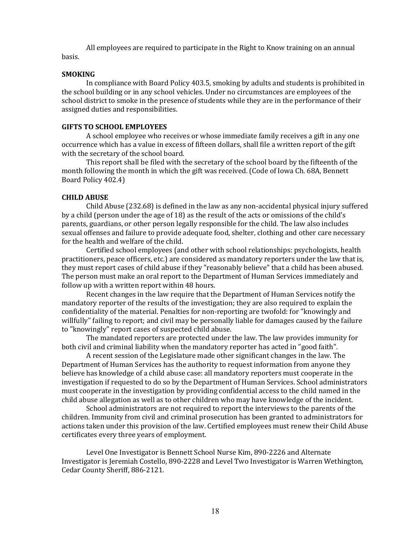All employees are required to participate in the Right to Know training on an annual basis.

#### **SMOKING**

In compliance with Board Policy 403.5, smoking by adults and students is prohibited in the school building or in any school vehicles. Under no circumstances are employees of the school district to smoke in the presence of students while they are in the performance of their assigned duties and responsibilities.

#### **GIFTS TO SCHOOL EMPLOYEES**

A school employee who receives or whose immediate family receives a gift in any one occurrence which has a value in excess of fifteen dollars, shall file a written report of the gift with the secretary of the school board.

This report shall be filed with the secretary of the school board by the fifteenth of the month following the month in which the gift was received. (Code of Iowa Ch. 68A, Bennett Board Policy 402.4)

#### **CHILD ABUSE**

Child Abuse (232.68) is defined in the law as any non-accidental physical injury suffered by a child (person under the age of 18) as the result of the acts or omissions of the child's parents, guardians, or other person legally responsible for the child. The law also includes sexual offenses and failure to provide adequate food, shelter, clothing and other care necessary for the health and welfare of the child.

Certified school employees (and other with school relationships: psychologists, health practitioners, peace officers, etc.) are considered as mandatory reporters under the law that is, they must report cases of child abuse if they "reasonably believe" that a child has been abused. The person must make an oral report to the Department of Human Services immediately and follow up with a written report within 48 hours.

Recent changes in the law require that the Department of Human Services notify the mandatory reporter of the results of the investigation; they are also required to explain the confidentiality of the material. Penalties for non-reporting are twofold: for "knowingly and willfully" failing to report; and civil may be personally liable for damages caused by the failure to "knowingly" report cases of suspected child abuse.

The mandated reporters are protected under the law. The law provides immunity for both civil and criminal liability when the mandatory reporter has acted in "good faith".

A recent session of the Legislature made other significant changes in the law. The Department of Human Services has the authority to request information from anyone they believe has knowledge of a child abuse case: all mandatory reporters must cooperate in the investigation if requested to do so by the Department of Human Services. School administrators must cooperate in the investigation by providing confidential access to the child named in the child abuse allegation as well as to other children who may have knowledge of the incident.

School administrators are not required to report the interviews to the parents of the children. Immunity from civil and criminal prosecution has been granted to administrators for actions taken under this provision of the law. Certified employees must renew their Child Abuse certificates every three years of employment.

Level One Investigator is Bennett School Nurse Kim, 890-2226 and Alternate Investigator is Jeremiah Costello, 890-2228 and Level Two Investigator is Warren Wethington, Cedar County Sheriff, 886-2121.